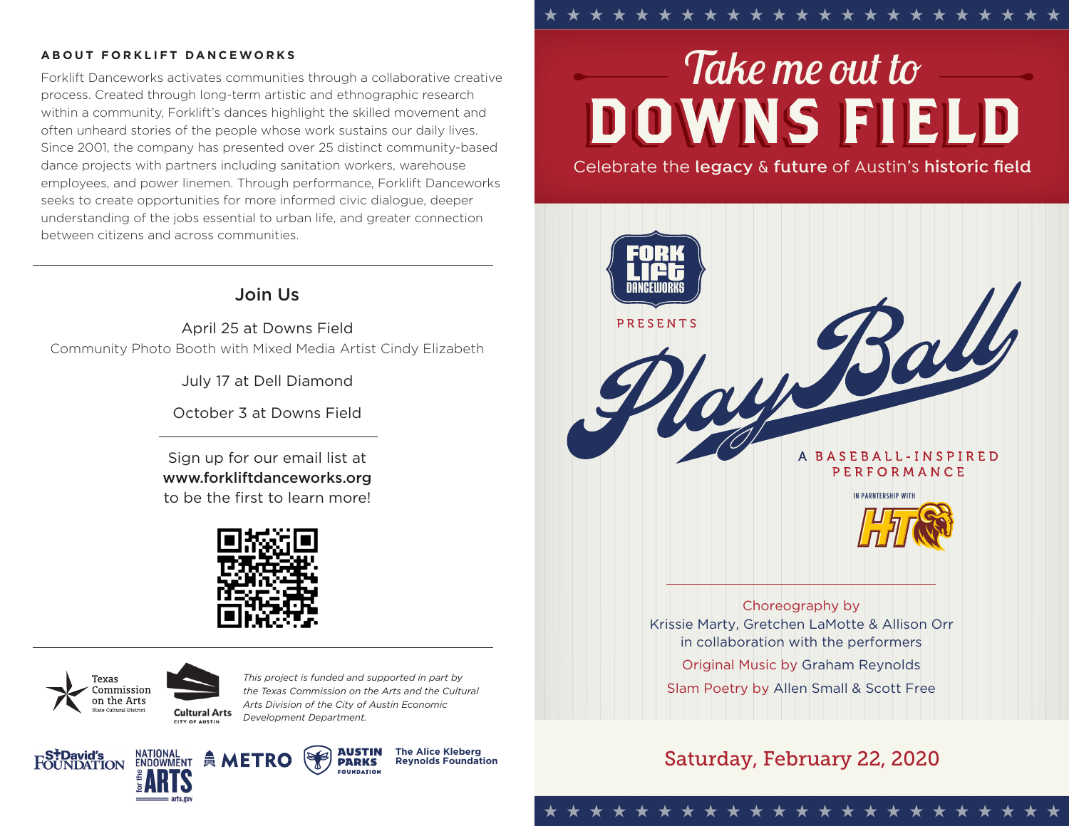#### **ABOUT FORKLIFT DANCEWORKS**

Forklift Danceworks activates communities through a collaborative creative process. Created through long-term artistic and ethnographic research within a community, Forklift's dances highlight the skilled movement and often unheard stories of the people whose work sustains our daily lives. Since 2001, the company has presented over 25 distinct community-based dance projects with partners including sanitation workers, warehouse employees, and power linemen. Through performance, Forklift Danceworks seeks to create opportunities for more informed civic dialogue, deeper understanding of the jobs essential to urban life, and greater connection between citizens and across communities.

### Join Us

April 25 at Downs Field Community Photo Booth with Mixed Media Artist Cindy Elizabeth

July 17 at Dell Diamond

October 3 at Downs Field

Sign up for our email list at www.forkliftdanceworks.org to be the first to learn more!



**Texas** Commission on the Arts



*This project is funded and supported in part by the Texas Commission on the Arts and the Cultural Arts Division of the City of Austin Economic Development Department.*





**The Alice Kleberg Reynolds Foundation**

# *Takeme out to* **DOWNS FIELD**

Celebrate the **legacy** & **future** of Austin's **historic field**



Krissie Marty, Gretchen LaMotte & Allison Orr in collaboration with the performers Original Music by Graham Reynolds Slam Poetry by Allen Small & Scott Free

## Saturday, February 22, 2020